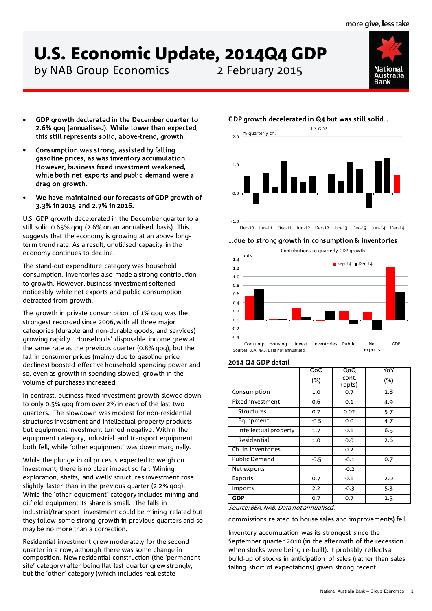# U.S. Economic Update, 2014Q4 GDP

by NAB Group Economics 2 February 2015



- GDP growth declerated in the December quarter to 2.6% qoq (annualised). While lower than expected, this still represents solid, above-trend, growth.
- Consumption was strong, assisted by falling gasoline prices, as was inventory accumulation. However, business fixed investment weakened, while both net exports and public demand were a drag on growth.
- We have maintained our forecasts of GDP growth of 3.3% in 2015 and 2.7% in 2016.

U.S. GDP growth decelerated in the December quarter to a still solid 0.65% qoq (2.6% on an annualised basis). This suggests that the economy is growing at an above longterm trend rate. As a result, unutilised capacity in the economy continues to decline.

The stand-out expenditure category was household consumption. Inventories also made a strong contribution to growth. However, business investment softened noticeably while net exports and public consumption detracted from growth.

The growth in private consumption, of 1% qoq was the strongest recorded since 2006, with all three major categories (durable and non-durable goods, and services) growing rapidly. Households' disposable income grew at the same rate as the previous quarter (0.8% qoq), but the fall in consumer prices (mainly due to gasoline price declines) boosted effective household spending power and so, even as growth in spending slowed, growth in the volume of purchases increased.

In contrast, business fixed investment growth slowed down to only 0.5% qoq from over 2% in each of the last two quarters. The slowdown was modest for non-residential structures investment and intellectual property products but equipment investment turned negative. Within the equipment category, industrial and transport equipment both fell, while 'other equipment' was down marginally.

While the plunge in oil prices is expected to weigh on investment, there is no clear impact so far. 'Mining exploration, shafts, and wells' structures investment rose slightly faster than in the previous quarter (2.2% qoq). While the 'other equipment' category includes mining and oilfield equipment its share is small. The falls in industrial/transport investment could be mining related but they follow some strong growth in previous quarters and so may be no more than a correction.

Residential investment grew moderately for the second quarter in a row, although there was some change in composition. New residential construction (the 'permanent site' category) after being flat last quarter grew strongly, but the 'other' category (which includes real estate

# GDP growth decelerated in Q4 but was still solid…



Dec-10 Jun-11 Dec-11 Jun-12 Dec-12 Jun-13 Dec-13 Jun-14 Dec-14

# …due to strong growth in consumption & inventories



## 2014 Q4 GDP detail

|                       | QoQ    | QoQ    | YoY |
|-----------------------|--------|--------|-----|
|                       | (%)    | cont.  | (%) |
|                       |        | (ppts) |     |
| Consumption           | 1.0    | 0.7    | 2.8 |
| Fixed investment      | 0.6    | 0.1    | 4.9 |
| <b>Structures</b>     | 0.7    | 0.02   | 5.7 |
| Equipment             | $-0.5$ | 0.0    | 4.7 |
| Intellectual property | 1.7    | 0.1    | 6.5 |
| Residential           | 1.0    | 0.0    | 2.6 |
| Ch. in inventories    |        | 0.2    |     |
| <b>Public Demand</b>  | $-0.5$ | $-0.1$ | 0.7 |
| Net exports           |        | $-0.2$ |     |
| Exports               | 0.7    | 0.1    | 2.0 |
| Imports               | 2.2    | $-0.3$ | 5.3 |
| <b>GDP</b>            | 0.7    | 0.7    | 2.5 |

Source: BEA, NAB. Data not annualised.

commissions related to house sales and improvements) fell.

Inventory accumulation was its strongest since the September quarter 2010 (in the aftermath of the recession when stocks were being re-built). It probably reflects a build-up of stocks in anticipation of sales (rather than sales falling short of expectations) given strong recent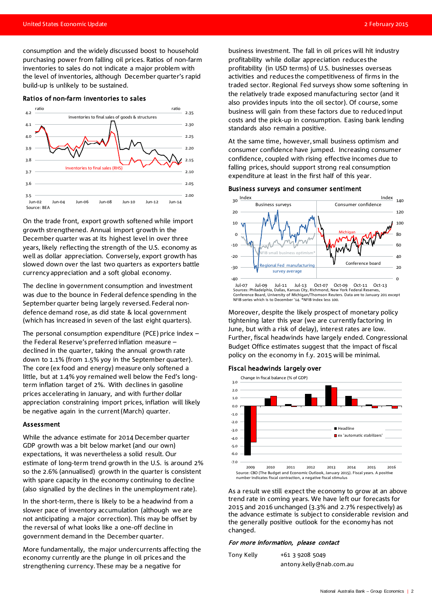consumption and the widely discussed boost to household purchasing power from falling oil prices. Ratios of non-farm inventories to sales do not indicate a major problem with the level of inventories, although December quarter's rapid build-up is unlikely to be sustained.

### Ratios of non-farm inventories to sales



On the trade front, export growth softened while import growth strengthened. Annual import growth in the December quarter was at its highest level in over three years, likely reflecting the strength of the U.S. economy as well as dollar appreciation. Conversely, export growth has slowed down over the last two quarters as exporters battle currency appreciation and a soft global economy.

The decline in government consumption and investment was due to the bounce in Federal defence spending in the September quarter being largely reversed. Federal nondefence demand rose, as did state & local government (which has increased in seven of the last eight quarters).

The personal consumption expenditure (PCE) price index – the Federal Reserve's preferred inflation measure – declined in the quarter, taking the annual growth rate down to 1.1% (from 1.5% yoy in the September quarter). The core (ex food and energy) measure only softened a little, but at 1.4% yoy remained well below the Fed's longterm inflation target of 2%. With declines in gasoline prices accelerating in January, and with further dollar appreciation constraining import prices, inflation will likely be negative again in the current (March) quarter.

### Assessment

While the advance estimate for 2014 December quarter GDP growth was a bit below market (and our own) expectations, it was nevertheless a solid result. Our estimate of long-term trend growth in the U.S. is around 2% so the 2.6% (annualised) growth in the quarter is consistent with spare capacity in the economy continuing to decline (also signalled by the declines in the unemployment rate).

In the short-term, there is likely to be a headwind from a slower pace of inventory accumulation (although we are not anticipating a major correction). This may be offset by the reversal of what looks like a one-off decline in government demand in the December quarter.

More fundamentally, the major undercurrents affecting the economy currently are the plunge in oil prices and the strengthening currency. These may be a negative for

business investment. The fall in oil prices will hit industry profitability while dollar appreciation reduces the profitability (in USD terms) of U.S. businesses overseas activities and reduces the competitiveness of firms in the traded sector. Regional Fed surveys show some softening in the relatively trade exposed manufacturing sector (and it also provides inputs into the oil sector). Of course, some business will gain from these factors due to reduced input costs and the pick-up in consumption. Easing bank lending standards also remain a positive.

At the same time, however, small business optimism and consumer confidence have jumped. Increasing consumer confidence, coupled with rising effective incomes due to falling prices, should support strong real consumption expenditure at least in the first half of this year.

#### Business surveys and consumer sentiment



Conference Board, University of Michigan/Thomson Reuters. Data are to January 201 except NFIB series which is to December '14. \*NFIB index less 100.

Moreover, despite the likely prospect of monetary policy tightening later this year (we are currently factoring in June, but with a risk of delay), interest rates are low. Further, fiscal headwinds have largely ended. Congressional Budget Office estimates suggest that the impact of fiscal policy on the economy in f.y. 2015 will be minimal.

### Fiscal headwinds largely over



Source: CBO (The Budget and Economic Outlook, January 2015). Fiscal years. A positive number indicates fiscal contraction, a negative fiscal stimulus

As a result we still expect the economy to grow at an above trend rate in coming years. We have left our forecasts for 2015 and 2016 unchanged (3.3% and 2.7% respectively) as the advance estimate is subject to considerable revision and the generally positive outlook for the economy has not changed.

# For more information, please contact

| Tony Kelly | $+61$ 3 9208 5049       |
|------------|-------------------------|
|            | antony.kelly@nab.com.au |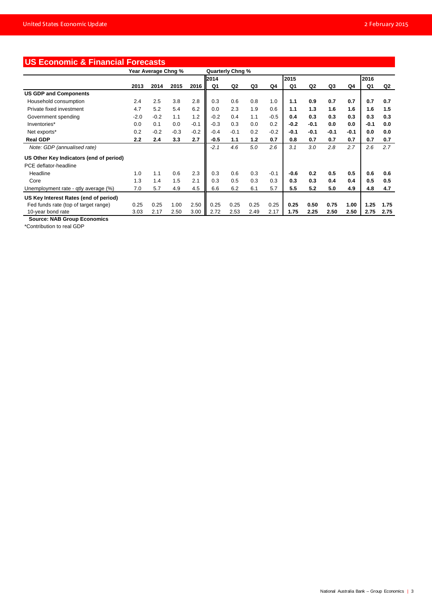| <b>US Economic &amp; Financial Forecasts</b> |                     |        |        |        |                         |                |      |        |        |                |        |        |        |      |
|----------------------------------------------|---------------------|--------|--------|--------|-------------------------|----------------|------|--------|--------|----------------|--------|--------|--------|------|
|                                              | Year Average Chng % |        |        |        | <b>Quarterly Chng %</b> |                |      |        |        |                |        |        |        |      |
|                                              |                     |        |        |        | 2014                    |                |      |        | 2015   |                |        |        | 2016   |      |
|                                              | 2013                | 2014   | 2015   | 2016   | Q1                      | Q <sub>2</sub> | Q3   | Q4     | Q1     | Q <sub>2</sub> | Q3     | Q4     | Q1     | Q2   |
| <b>US GDP and Components</b>                 |                     |        |        |        |                         |                |      |        |        |                |        |        |        |      |
| Household consumption                        | 2.4                 | 2.5    | 3.8    | 2.8    | 0.3                     | 0.6            | 0.8  | 1.0    | 1.1    | 0.9            | 0.7    | 0.7    | 0.7    | 0.7  |
| Private fixed investment                     | 4.7                 | 5.2    | 5.4    | 6.2    | 0.0                     | 2.3            | 1.9  | 0.6    | 1.1    | 1.3            | 1.6    | 1.6    | 1.6    | 1.5  |
| Government spending                          | $-2.0$              | $-0.2$ | 1.1    | 1.2    | $-0.2$                  | 0.4            | 1.1  | $-0.5$ | 0.4    | 0.3            | 0.3    | 0.3    | 0.3    | 0.3  |
| Inventories*                                 | 0.0                 | 0.1    | 0.0    | $-0.1$ | $-0.3$                  | 0.3            | 0.0  | 0.2    | $-0.2$ | $-0.1$         | 0.0    | 0.0    | $-0.1$ | 0.0  |
| Net exports*                                 | 0.2                 | $-0.2$ | $-0.3$ | $-0.2$ | $-0.4$                  | $-0.1$         | 0.2  | $-0.2$ | $-0.1$ | $-0.1$         | $-0.1$ | $-0.1$ | 0.0    | 0.0  |
| <b>Real GDP</b>                              | 2.2                 | 2.4    | 3.3    | 2.7    | $-0.5$                  | 1.1            | 1.2  | 0.7    | 0.8    | 0.7            | 0.7    | 0.7    | 0.7    | 0.7  |
| Note: GDP (annualised rate)                  |                     |        |        |        | $-2.1$                  | 4.6            | 5.0  | 2.6    | 3.1    | 3.0            | 2.8    | 2.7    | 2.6    | 2.7  |
| US Other Key Indicators (end of period)      |                     |        |        |        |                         |                |      |        |        |                |        |        |        |      |
| PCE deflator-headline                        |                     |        |        |        |                         |                |      |        |        |                |        |        |        |      |
| Headline                                     | 1.0                 | 1.1    | 0.6    | 2.3    | 0.3                     | 0.6            | 0.3  | $-0.1$ | $-0.6$ | 0.2            | 0.5    | 0.5    | 0.6    | 0.6  |
| Core                                         | 1.3                 | 1.4    | 1.5    | 2.1    | 0.3                     | 0.5            | 0.3  | 0.3    | 0.3    | 0.3            | 0.4    | 0.4    | 0.5    | 0.5  |
| Unemployment rate - qtly average (%)         | 7.0                 | 5.7    | 4.9    | 4.5    | 6.6                     | 6.2            | 6.1  | 5.7    | 5.5    | 5.2            | 5.0    | 4.9    | 4.8    | 4.7  |
| US Key Interest Rates (end of period)        |                     |        |        |        |                         |                |      |        |        |                |        |        |        |      |
| Fed funds rate (top of target range)         | 0.25                | 0.25   | 1.00   | 2.50   | 0.25                    | 0.25           | 0.25 | 0.25   | 0.25   | 0.50           | 0.75   | 1.00   | 1.25   | 1.75 |
| 10-year bond rate                            | 3.03                | 2.17   | 2.50   | 3.00   | 2.72                    | 2.53           | 2.49 | 2.17   | 1.75   | 2.25           | 2.50   | 2.50   | 2.75   | 2.75 |

 **Source: NAB Group Economics**

\*Contribution to real GDP